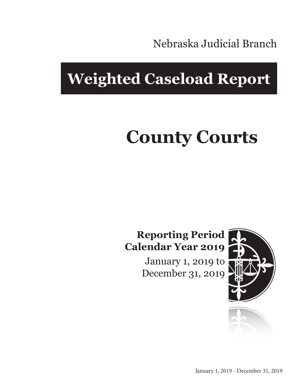Nebraska Judicial Branch

## **Weighted Caseload Report**

# **County Courts**

#### **Reporting Period Calendar Year 2019**

January 1, 2019 to December 31, 2019



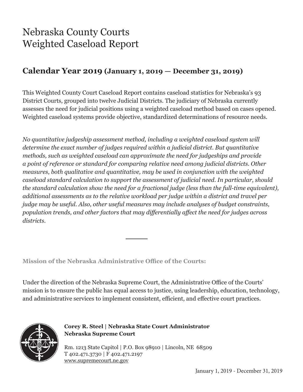### Nebraska County Courts Weighted Caseload Report

#### **Calendar Year 2019 (January 1, 2019 — December 31, 2019)**

This Weighted County Court Caseload Report contains caseload statistics for Nebraska's 93 District Courts, grouped into twelve Judicial Districts. The judiciary of Nebraska currently assesses the need for judicial positions using a weighted caseload method based on cases opened. Weighted caseload systems provide objective, standardized determinations of resource needs.

*No quantitative judgeship assessment method, including a weighted caseload system will determine the exact number of judges required within a judicial district. But quantitative methods, such as weighted caseload can approximate the need for judgeships and provide a point of reference or standard for comparing relative need among judicial districts. Other measures, both qualitative and quantitative, may be used in conjunction with the weighted caseload standard calculation to support the assessment of judicial need. In particular, should the standard calculation show the need for a fractional judge (less than the full-time equivalent), additional assessments as to the relative workload per judge within a district and travel per judge may be useful. Also, other useful measures may include analyses of budget constraints, population trends, and other factors that may differentially affect the need for judges across districts.*

**Mission of the Nebraska Administrative Office of the Courts:**

Under the direction of the Nebraska Supreme Court, the Administrative Office of the Courts' mission is to ensure the public has equal access to justice, using leadership, education, technology, and administrative services to implement consistent, efficient, and effective court practices.



**Corey R. Steel | Nebraska State Court Administrator Nebraska Supreme Court**

Rm. 1213 State Capitol | P.O. Box 98910 | Lincoln, NE 68509 T 402.471.3730 | F 402.471.2197 www.supremecourt.ne.gov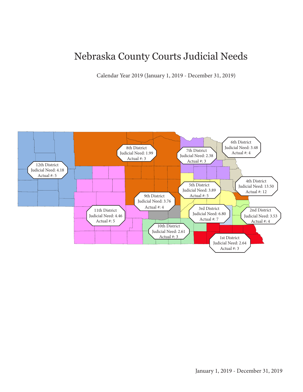#### Nebraska County Courts Judicial Needs

Calendar Year 2019 (January 1, 2019 - December 31, 2019)

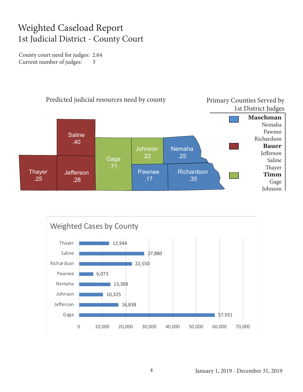#### Weighted Caseload Report 1st Judicial District - County Court

County court need for judges: 2.64 Current number of judges: 3



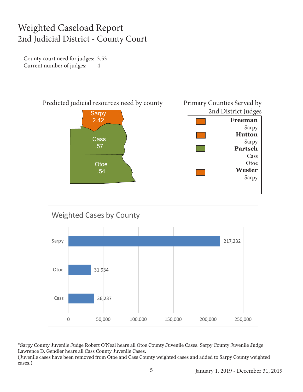#### Weighted Caseload Report 2nd Judicial District - County Court

County court need for judges: 3.53 Current number of judges: 4





\*Sarpy County Juvenile Judge Robert O'Neal hears all Otoe County Juvenile Cases. Sarpy County Juvenile Judge Lawrence D. Gendler hears all Cass County Juvenile Cases. (Juvenile cases have been removed from Otoe and Cass County weighted cases and added to Sarpy County weighted cases.)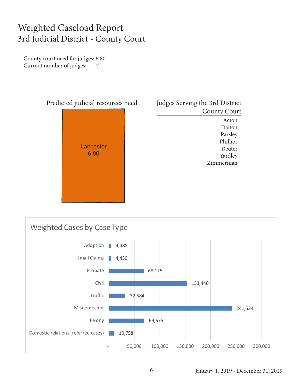#### Weighted Caseload Report 3rd Judicial District - County Court

County court need for judges: 6.80 Current number of judges: 7



| Judges Serving the 3rd District |
|---------------------------------|
| <b>County Court</b>             |
| Acton                           |
| Dalton                          |
| Parsley                         |
| Phillips                        |
| Reuter                          |
| Yardley                         |
| Zimmerman                       |
|                                 |

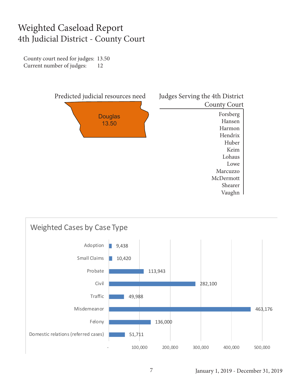#### Weighted Caseload Report 4th Judicial District - County Court

County court need for judges: 13.50 Current number of judges: 12



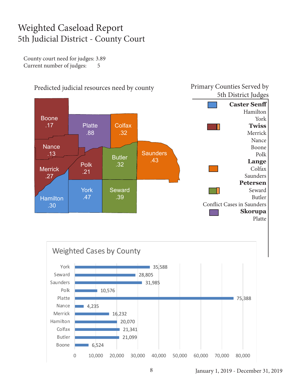#### Weighted Caseload Report 5th Judicial District - County Court

County court need for judges: 3.89 Current number of judges: 5



January 1, 2019 - December 31, 2019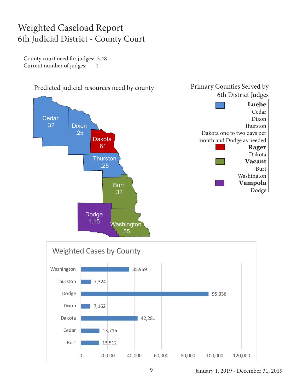#### Weighted Caseload Report 6th Judicial District - County Court

County court need for judges: 3.48 Current number of judges: 4





January 1, 2019 - December 31, 2019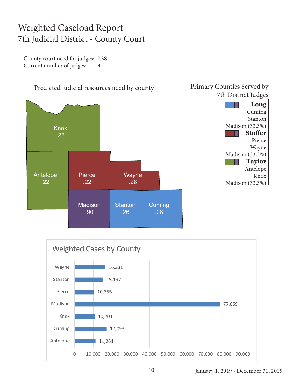#### Weighted Caseload Report 7th Judicial District - County Court

County court need for judges: 2.38 Current number of judges: 3





Primary Counties Served by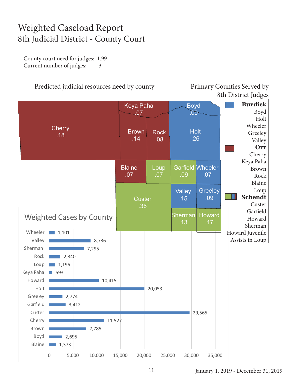#### Weighted Caseload Report 8th Judicial District - County Court

County court need for judges: 1.99 Current number of judges: 3

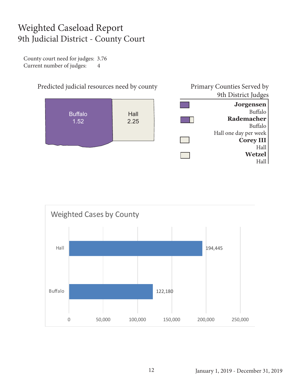#### Weighted Caseload Report 9th Judicial District - County Court

County court need for judges: 3.76 Current number of judges: 4





January 1, 2019 - December 31, 2019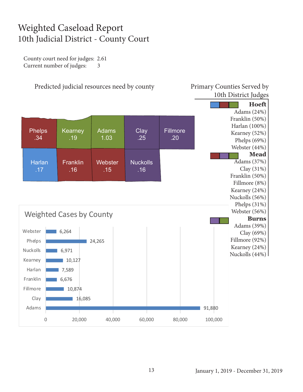#### Weighted Caseload Report 10th Judicial District - County Court

County court need for judges: 2.61 Current number of judges: 3

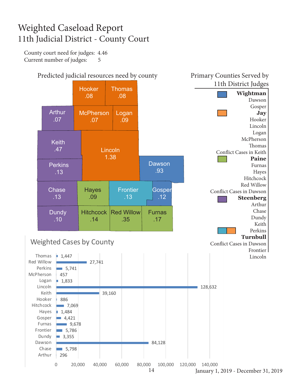#### Weighted Caseload Report 11th Judicial District - County Court

County court need for judges: 4.46 Current number of judges: 5